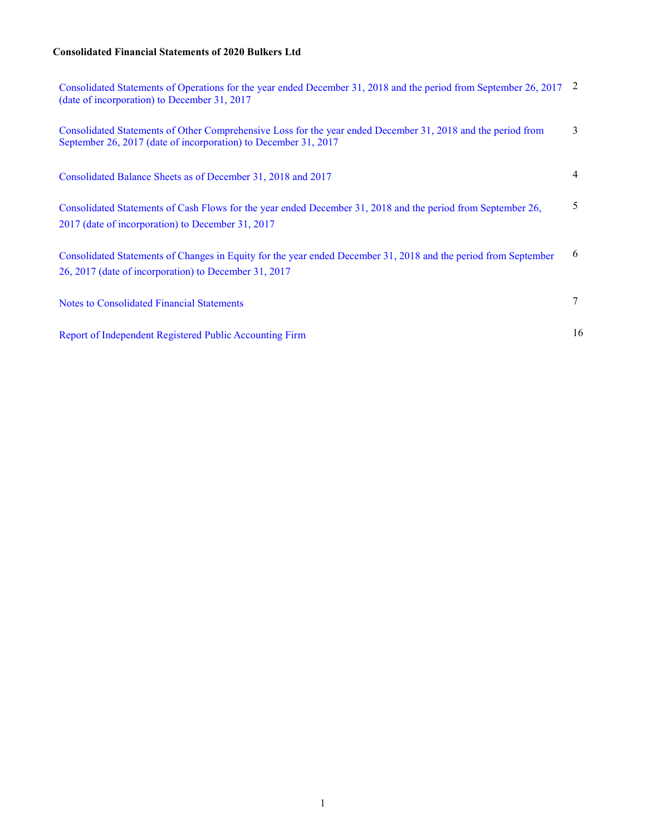# **Consolidated Financial Statements of 2020 Bulkers Ltd**

| Consolidated Statements of Operations for the year ended December 31, 2018 and the period from September 26, 2017<br>(date of incorporation) to December 31, 2017               | 2  |
|---------------------------------------------------------------------------------------------------------------------------------------------------------------------------------|----|
| Consolidated Statements of Other Comprehensive Loss for the year ended December 31, 2018 and the period from<br>September 26, 2017 (date of incorporation) to December 31, 2017 | 3  |
| Consolidated Balance Sheets as of December 31, 2018 and 2017                                                                                                                    | 4  |
| Consolidated Statements of Cash Flows for the year ended December 31, 2018 and the period from September 26,<br>2017 (date of incorporation) to December 31, 2017               | 5  |
| Consolidated Statements of Changes in Equity for the year ended December 31, 2018 and the period from September<br>26, 2017 (date of incorporation) to December 31, 2017        | 6  |
| Notes to Consolidated Financial Statements                                                                                                                                      | 7  |
| Report of Independent Registered Public Accounting Firm                                                                                                                         | 16 |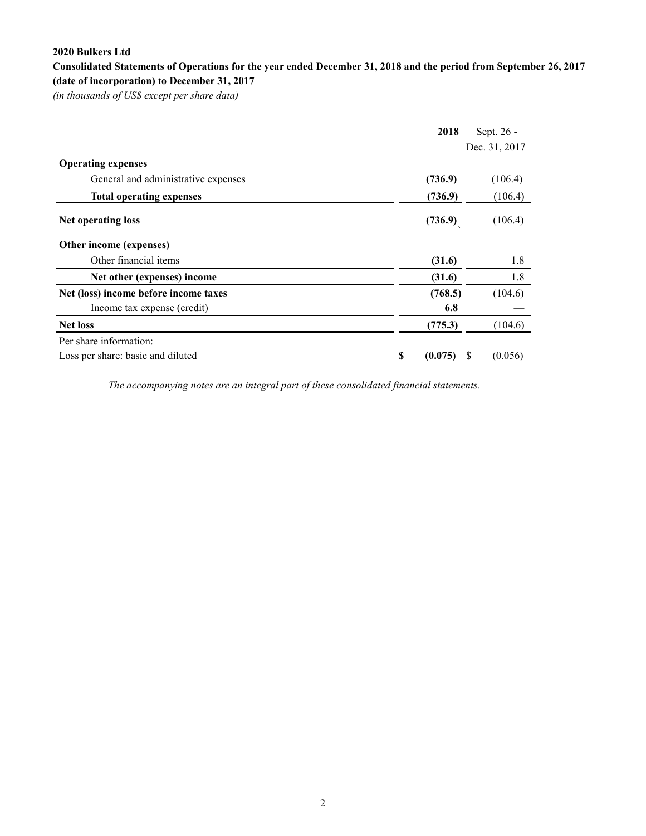# <span id="page-1-0"></span>**Consolidated Statements of Operations for the year ended December 31, 2018 and the period from September 26, 2017 (date of incorporation) to December 31, 2017**

*(in thousands of US\$ except per share data)*

|                                       | 2018          | Sept. 26 -    |
|---------------------------------------|---------------|---------------|
|                                       |               | Dec. 31, 2017 |
| <b>Operating expenses</b>             |               |               |
| General and administrative expenses   | (736.9)       | (106.4)       |
| <b>Total operating expenses</b>       | (736.9)       | (106.4)       |
| <b>Net operating loss</b>             | (736.9)       | (106.4)       |
| Other income (expenses)               |               |               |
| Other financial items                 | (31.6)        | 1.8           |
| Net other (expenses) income           | (31.6)        | 1.8           |
| Net (loss) income before income taxes | (768.5)       | (104.6)       |
| Income tax expense (credit)           | 6.8           |               |
| <b>Net loss</b>                       | (775.3)       | (104.6)       |
| Per share information:                |               |               |
| Loss per share: basic and diluted     | \$<br>(0.075) | (0.056)<br>S  |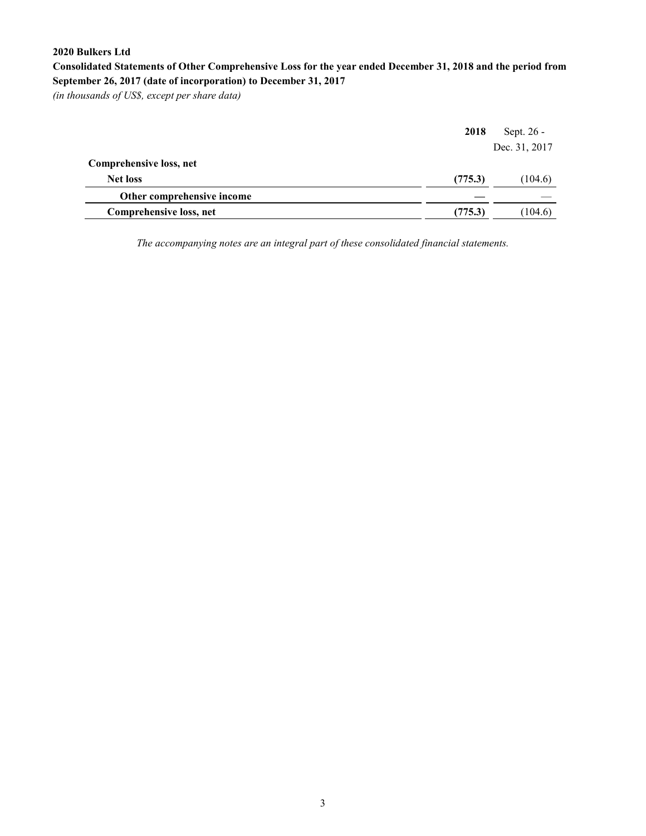**Consolidated Statements of Other Comprehensive Loss for the year ended December 31, 2018 and the period from September 26, 2017 (date of incorporation) to December 31, 2017** 

*(in thousands of US\$, except per share data)*

|                            | 2018    | Sept. 26 -    |
|----------------------------|---------|---------------|
|                            |         | Dec. 31, 2017 |
| Comprehensive loss, net    |         |               |
| <b>Net loss</b>            | (775.3) | (104.6)       |
| Other comprehensive income |         |               |
| Comprehensive loss, net    | (775.3) | (104.6)       |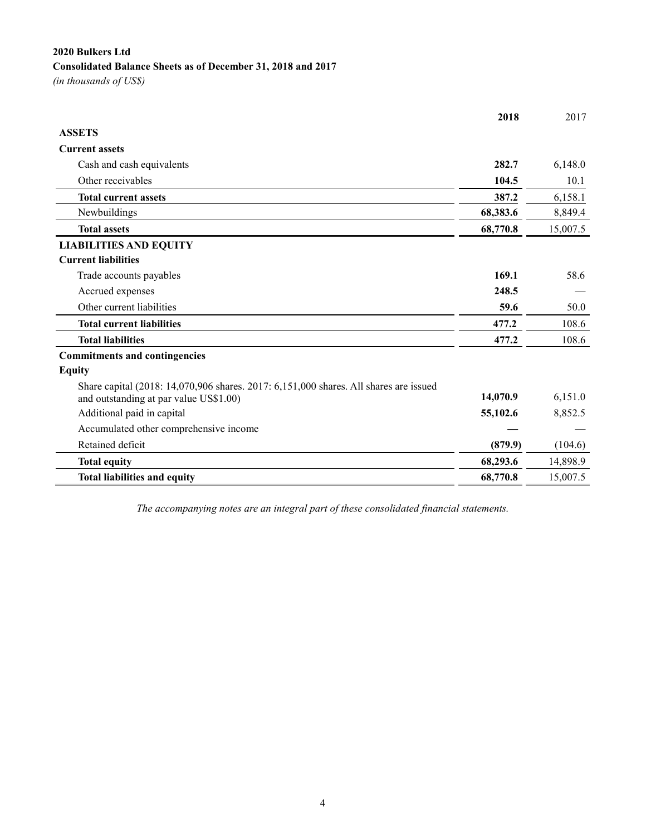# **2020 Bulkers Ltd Consolidated Balance Sheets as of December 31, 2018 and 2017**

*(in thousands of US\$)*

|                                                                                                                                 | 2018     | 2017     |
|---------------------------------------------------------------------------------------------------------------------------------|----------|----------|
| <b>ASSETS</b>                                                                                                                   |          |          |
| <b>Current assets</b>                                                                                                           |          |          |
| Cash and cash equivalents                                                                                                       | 282.7    | 6,148.0  |
| Other receivables                                                                                                               | 104.5    | 10.1     |
| <b>Total current assets</b>                                                                                                     | 387.2    | 6,158.1  |
| Newbuildings                                                                                                                    | 68,383.6 | 8,849.4  |
| <b>Total assets</b>                                                                                                             | 68,770.8 | 15,007.5 |
| <b>LIABILITIES AND EQUITY</b>                                                                                                   |          |          |
| <b>Current liabilities</b>                                                                                                      |          |          |
| Trade accounts payables                                                                                                         | 169.1    | 58.6     |
| Accrued expenses                                                                                                                | 248.5    |          |
| Other current liabilities                                                                                                       | 59.6     | 50.0     |
| <b>Total current liabilities</b>                                                                                                | 477.2    | 108.6    |
| <b>Total liabilities</b>                                                                                                        | 477.2    | 108.6    |
| <b>Commitments and contingencies</b>                                                                                            |          |          |
| <b>Equity</b>                                                                                                                   |          |          |
| Share capital (2018: 14,070,906 shares. 2017: 6,151,000 shares. All shares are issued<br>and outstanding at par value US\$1.00) | 14,070.9 | 6,151.0  |
| Additional paid in capital                                                                                                      | 55,102.6 | 8,852.5  |
| Accumulated other comprehensive income                                                                                          |          |          |
| Retained deficit                                                                                                                | (879.9)  | (104.6)  |
| <b>Total equity</b>                                                                                                             | 68,293.6 | 14,898.9 |
| <b>Total liabilities and equity</b>                                                                                             | 68,770.8 | 15,007.5 |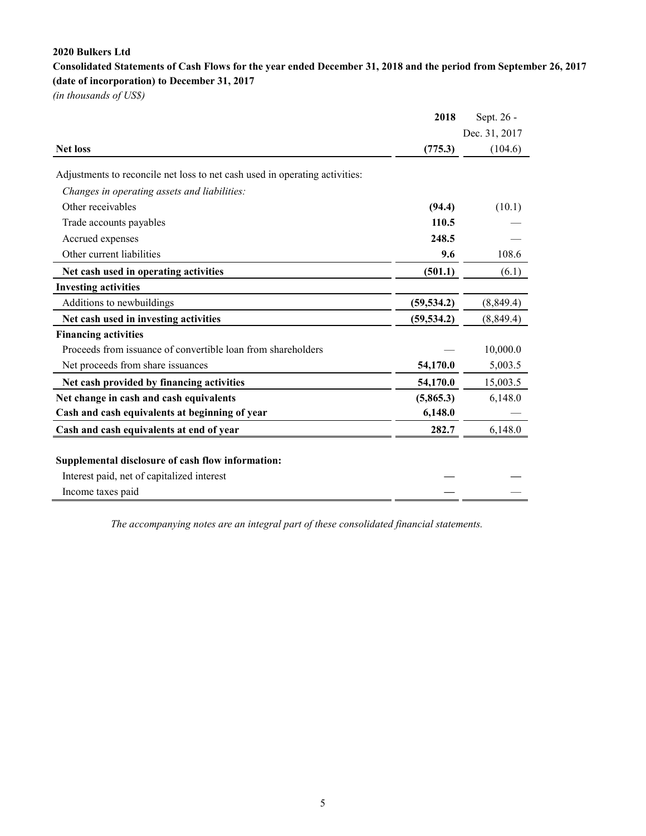<span id="page-4-0"></span>**Consolidated Statements of Cash Flows for the year ended December 31, 2018 and the period from September 26, 2017 (date of incorporation) to December 31, 2017** 

*(in thousands of US\$)*

|                                                                             | 2018        | Sept. 26 -    |
|-----------------------------------------------------------------------------|-------------|---------------|
|                                                                             |             | Dec. 31, 2017 |
| <b>Net loss</b>                                                             | (775.3)     | (104.6)       |
| Adjustments to reconcile net loss to net cash used in operating activities: |             |               |
| Changes in operating assets and liabilities:                                |             |               |
| Other receivables                                                           | (94.4)      | (10.1)        |
| Trade accounts payables                                                     | 110.5       |               |
| Accrued expenses                                                            | 248.5       |               |
| Other current liabilities                                                   | 9.6         | 108.6         |
| Net cash used in operating activities                                       | (501.1)     | (6.1)         |
| <b>Investing activities</b>                                                 |             |               |
| Additions to newbuildings                                                   | (59, 534.2) | (8,849.4)     |
| Net cash used in investing activities                                       | (59, 534.2) | (8, 849.4)    |
| <b>Financing activities</b>                                                 |             |               |
| Proceeds from issuance of convertible loan from shareholders                |             | 10,000.0      |
| Net proceeds from share issuances                                           | 54,170.0    | 5,003.5       |
| Net cash provided by financing activities                                   | 54,170.0    | 15,003.5      |
| Net change in cash and cash equivalents                                     | (5,865.3)   | 6,148.0       |
| Cash and cash equivalents at beginning of year                              | 6,148.0     |               |
| Cash and cash equivalents at end of year                                    | 282.7       | 6,148.0       |
|                                                                             |             |               |
| Supplemental disclosure of cash flow information:                           |             |               |
| Interest paid, net of capitalized interest                                  |             |               |
| Income taxes paid                                                           |             |               |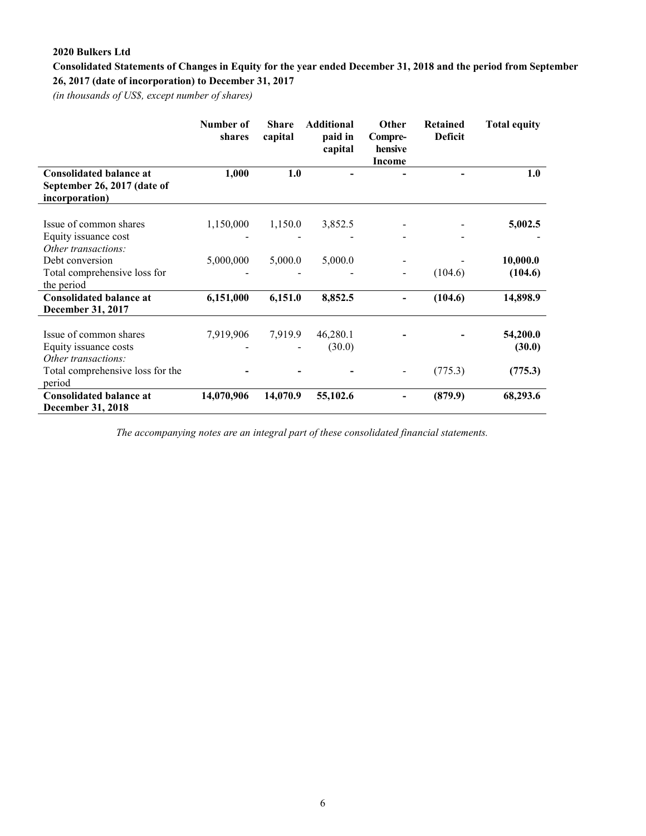# <span id="page-5-0"></span>**Consolidated Statements of Changes in Equity for the year ended December 31, 2018 and the period from September 26, 2017 (date of incorporation) to December 31, 2017**

*(in thousands of US\$, except number of shares)*

|                                                                                 | Number of<br>shares | <b>Share</b><br>capital | <b>Additional</b><br>paid in<br>capital | Other<br>Compre-<br>hensive<br><b>Income</b> | <b>Retained</b><br><b>Deficit</b> | <b>Total equity</b> |
|---------------------------------------------------------------------------------|---------------------|-------------------------|-----------------------------------------|----------------------------------------------|-----------------------------------|---------------------|
| <b>Consolidated balance at</b><br>September 26, 2017 (date of<br>incorporation) | 1,000               | 1.0                     |                                         |                                              |                                   | 1.0                 |
| Issue of common shares<br>Equity issuance cost<br>Other transactions:           | 1,150,000           | 1,150.0                 | 3,852.5                                 |                                              |                                   | 5,002.5             |
| Debt conversion<br>Total comprehensive loss for<br>the period                   | 5,000,000           | 5,000.0                 | 5,000.0                                 |                                              | (104.6)                           | 10,000.0<br>(104.6) |
| <b>Consolidated balance at</b><br>December 31, 2017                             | 6,151,000           | 6,151.0                 | 8,852.5                                 |                                              | (104.6)                           | 14,898.9            |
| Issue of common shares<br>Equity issuance costs<br>Other transactions:          | 7,919,906           | 7,919.9                 | 46,280.1<br>(30.0)                      |                                              |                                   | 54,200.0<br>(30.0)  |
| Total comprehensive loss for the<br>period                                      |                     |                         |                                         |                                              | (775.3)                           | (775.3)             |
| <b>Consolidated balance at</b><br><b>December 31, 2018</b>                      | 14,070,906          | 14,070.9                | 55,102.6                                |                                              | (879.9)                           | 68,293.6            |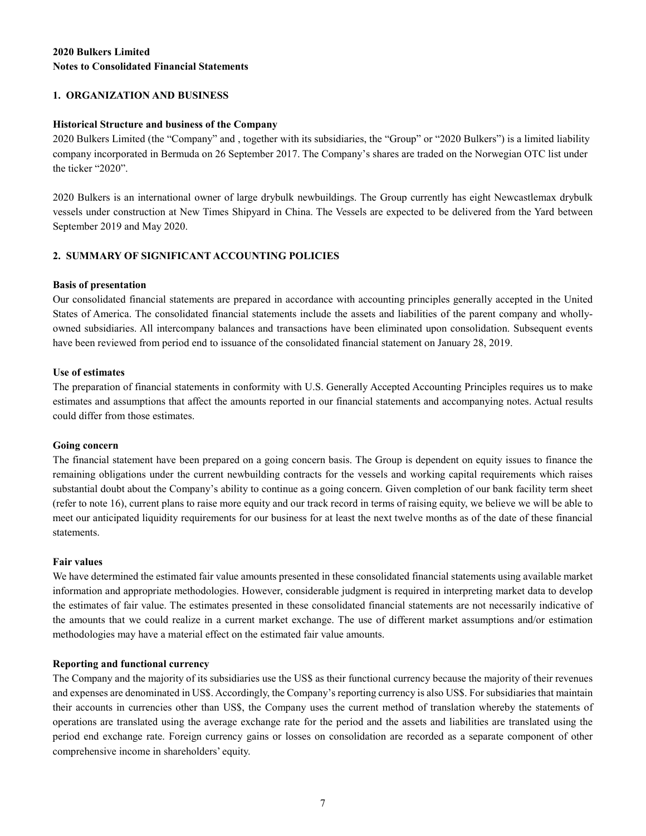# <span id="page-6-0"></span>**2020 Bulkers Limited Notes to Consolidated Financial Statements**

# **1. ORGANIZATION AND BUSINESS**

# **Historical Structure and business of the Company**

2020 Bulkers Limited (the "Company" and , together with its subsidiaries, the "Group" or "2020 Bulkers") is a limited liability company incorporated in Bermuda on 26 September 2017. The Company's shares are traded on the Norwegian OTC list under the ticker "2020".

2020 Bulkers is an international owner of large drybulk newbuildings. The Group currently has eight Newcastlemax drybulk vessels under construction at New Times Shipyard in China. The Vessels are expected to be delivered from the Yard between September 2019 and May 2020.

# **2. SUMMARY OF SIGNIFICANT ACCOUNTING POLICIES**

# **Basis of presentation**

Our consolidated financial statements are prepared in accordance with accounting principles generally accepted in the United States of America. The consolidated financial statements include the assets and liabilities of the parent company and whollyowned subsidiaries. All intercompany balances and transactions have been eliminated upon consolidation. Subsequent events have been reviewed from period end to issuance of the consolidated financial statement on January 28, 2019.

### **Use of estimates**

The preparation of financial statements in conformity with U.S. Generally Accepted Accounting Principles requires us to make estimates and assumptions that affect the amounts reported in our financial statements and accompanying notes. Actual results could differ from those estimates.

#### **Going concern**

The financial statement have been prepared on a going concern basis. The Group is dependent on equity issues to finance the remaining obligations under the current newbuilding contracts for the vessels and working capital requirements which raises substantial doubt about the Company's ability to continue as a going concern. Given completion of our bank facility term sheet (refer to note 16), current plans to raise more equity and our track record in terms of raising equity, we believe we will be able to meet our anticipated liquidity requirements for our business for at least the next twelve months as of the date of these financial statements.

#### **Fair values**

We have determined the estimated fair value amounts presented in these consolidated financial statements using available market information and appropriate methodologies. However, considerable judgment is required in interpreting market data to develop the estimates of fair value. The estimates presented in these consolidated financial statements are not necessarily indicative of the amounts that we could realize in a current market exchange. The use of different market assumptions and/or estimation methodologies may have a material effect on the estimated fair value amounts.

#### **Reporting and functional currency**

The Company and the majority of its subsidiaries use the US\$ as their functional currency because the majority of their revenues and expenses are denominated in US\$. Accordingly, the Company's reporting currency is also US\$. For subsidiaries that maintain their accounts in currencies other than US\$, the Company uses the current method of translation whereby the statements of operations are translated using the average exchange rate for the period and the assets and liabilities are translated using the period end exchange rate. Foreign currency gains or losses on consolidation are recorded as a separate component of other comprehensive income in shareholders' equity.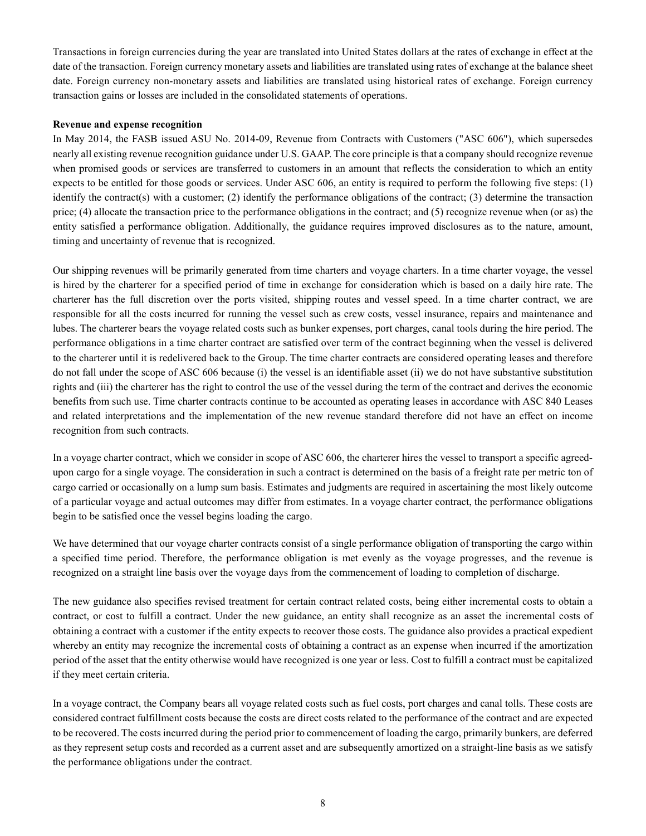Transactions in foreign currencies during the year are translated into United States dollars at the rates of exchange in effect at the date of the transaction. Foreign currency monetary assets and liabilities are translated using rates of exchange at the balance sheet date. Foreign currency non-monetary assets and liabilities are translated using historical rates of exchange. Foreign currency transaction gains or losses are included in the consolidated statements of operations.

## **Revenue and expense recognition**

In May 2014, the FASB issued ASU No. 2014-09, Revenue from Contracts with Customers ("ASC 606"), which supersedes nearly all existing revenue recognition guidance under U.S. GAAP. The core principle is that a company should recognize revenue when promised goods or services are transferred to customers in an amount that reflects the consideration to which an entity expects to be entitled for those goods or services. Under ASC 606, an entity is required to perform the following five steps: (1) identify the contract(s) with a customer; (2) identify the performance obligations of the contract; (3) determine the transaction price; (4) allocate the transaction price to the performance obligations in the contract; and (5) recognize revenue when (or as) the entity satisfied a performance obligation. Additionally, the guidance requires improved disclosures as to the nature, amount, timing and uncertainty of revenue that is recognized.

Our shipping revenues will be primarily generated from time charters and voyage charters. In a time charter voyage, the vessel is hired by the charterer for a specified period of time in exchange for consideration which is based on a daily hire rate. The charterer has the full discretion over the ports visited, shipping routes and vessel speed. In a time charter contract, we are responsible for all the costs incurred for running the vessel such as crew costs, vessel insurance, repairs and maintenance and lubes. The charterer bears the voyage related costs such as bunker expenses, port charges, canal tools during the hire period. The performance obligations in a time charter contract are satisfied over term of the contract beginning when the vessel is delivered to the charterer until it is redelivered back to the Group. The time charter contracts are considered operating leases and therefore do not fall under the scope of ASC 606 because (i) the vessel is an identifiable asset (ii) we do not have substantive substitution rights and (iii) the charterer has the right to control the use of the vessel during the term of the contract and derives the economic benefits from such use. Time charter contracts continue to be accounted as operating leases in accordance with ASC 840 Leases and related interpretations and the implementation of the new revenue standard therefore did not have an effect on income recognition from such contracts.

In a voyage charter contract, which we consider in scope of ASC 606, the charterer hires the vessel to transport a specific agreedupon cargo for a single voyage. The consideration in such a contract is determined on the basis of a freight rate per metric ton of cargo carried or occasionally on a lump sum basis. Estimates and judgments are required in ascertaining the most likely outcome of a particular voyage and actual outcomes may differ from estimates. In a voyage charter contract, the performance obligations begin to be satisfied once the vessel begins loading the cargo.

We have determined that our voyage charter contracts consist of a single performance obligation of transporting the cargo within a specified time period. Therefore, the performance obligation is met evenly as the voyage progresses, and the revenue is recognized on a straight line basis over the voyage days from the commencement of loading to completion of discharge.

The new guidance also specifies revised treatment for certain contract related costs, being either incremental costs to obtain a contract, or cost to fulfill a contract. Under the new guidance, an entity shall recognize as an asset the incremental costs of obtaining a contract with a customer if the entity expects to recover those costs. The guidance also provides a practical expedient whereby an entity may recognize the incremental costs of obtaining a contract as an expense when incurred if the amortization period of the asset that the entity otherwise would have recognized is one year or less. Cost to fulfill a contract must be capitalized if they meet certain criteria.

In a voyage contract, the Company bears all voyage related costs such as fuel costs, port charges and canal tolls. These costs are considered contract fulfillment costs because the costs are direct costs related to the performance of the contract and are expected to be recovered. The costs incurred during the period prior to commencement of loading the cargo, primarily bunkers, are deferred as they represent setup costs and recorded as a current asset and are subsequently amortized on a straight-line basis as we satisfy the performance obligations under the contract.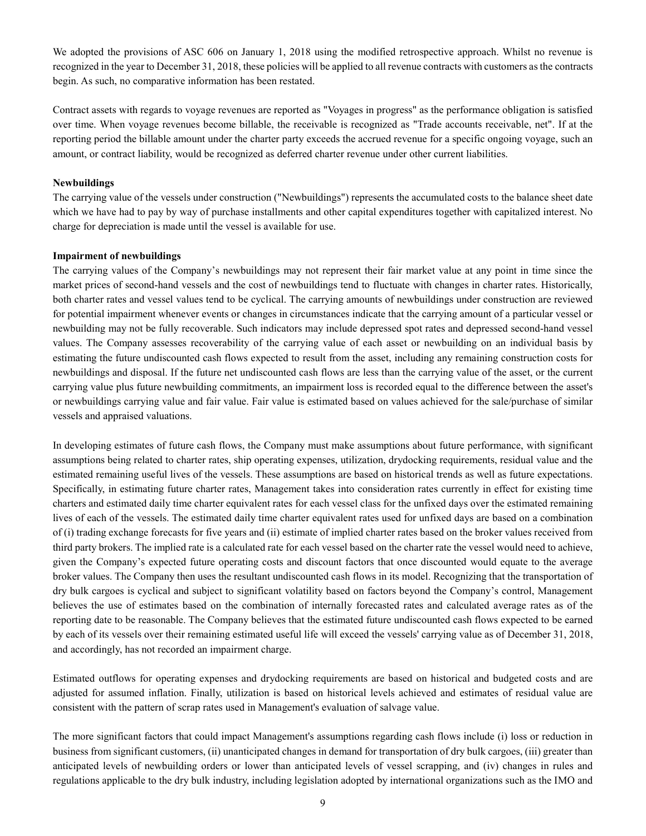We adopted the provisions of ASC 606 on January 1, 2018 using the modified retrospective approach. Whilst no revenue is recognized in the year to December 31, 2018, these policies will be applied to all revenue contracts with customers as the contracts begin. As such, no comparative information has been restated.

Contract assets with regards to voyage revenues are reported as "Voyages in progress" as the performance obligation is satisfied over time. When voyage revenues become billable, the receivable is recognized as "Trade accounts receivable, net". If at the reporting period the billable amount under the charter party exceeds the accrued revenue for a specific ongoing voyage, such an amount, or contract liability, would be recognized as deferred charter revenue under other current liabilities.

#### **Newbuildings**

The carrying value of the vessels under construction ("Newbuildings") represents the accumulated costs to the balance sheet date which we have had to pay by way of purchase installments and other capital expenditures together with capitalized interest. No charge for depreciation is made until the vessel is available for use.

#### **Impairment of newbuildings**

The carrying values of the Company's newbuildings may not represent their fair market value at any point in time since the market prices of second-hand vessels and the cost of newbuildings tend to fluctuate with changes in charter rates. Historically, both charter rates and vessel values tend to be cyclical. The carrying amounts of newbuildings under construction are reviewed for potential impairment whenever events or changes in circumstances indicate that the carrying amount of a particular vessel or newbuilding may not be fully recoverable. Such indicators may include depressed spot rates and depressed second-hand vessel values. The Company assesses recoverability of the carrying value of each asset or newbuilding on an individual basis by estimating the future undiscounted cash flows expected to result from the asset, including any remaining construction costs for newbuildings and disposal. If the future net undiscounted cash flows are less than the carrying value of the asset, or the current carrying value plus future newbuilding commitments, an impairment loss is recorded equal to the difference between the asset's or newbuildings carrying value and fair value. Fair value is estimated based on values achieved for the sale/purchase of similar vessels and appraised valuations.

In developing estimates of future cash flows, the Company must make assumptions about future performance, with significant assumptions being related to charter rates, ship operating expenses, utilization, drydocking requirements, residual value and the estimated remaining useful lives of the vessels. These assumptions are based on historical trends as well as future expectations. Specifically, in estimating future charter rates, Management takes into consideration rates currently in effect for existing time charters and estimated daily time charter equivalent rates for each vessel class for the unfixed days over the estimated remaining lives of each of the vessels. The estimated daily time charter equivalent rates used for unfixed days are based on a combination of (i) trading exchange forecasts for five years and (ii) estimate of implied charter rates based on the broker values received from third party brokers. The implied rate is a calculated rate for each vessel based on the charter rate the vessel would need to achieve, given the Company's expected future operating costs and discount factors that once discounted would equate to the average broker values. The Company then uses the resultant undiscounted cash flows in its model. Recognizing that the transportation of dry bulk cargoes is cyclical and subject to significant volatility based on factors beyond the Company's control, Management believes the use of estimates based on the combination of internally forecasted rates and calculated average rates as of the reporting date to be reasonable. The Company believes that the estimated future undiscounted cash flows expected to be earned by each of its vessels over their remaining estimated useful life will exceed the vessels' carrying value as of December 31, 2018, and accordingly, has not recorded an impairment charge.

Estimated outflows for operating expenses and drydocking requirements are based on historical and budgeted costs and are adjusted for assumed inflation. Finally, utilization is based on historical levels achieved and estimates of residual value are consistent with the pattern of scrap rates used in Management's evaluation of salvage value.

The more significant factors that could impact Management's assumptions regarding cash flows include (i) loss or reduction in business from significant customers, (ii) unanticipated changes in demand for transportation of dry bulk cargoes, (iii) greater than anticipated levels of newbuilding orders or lower than anticipated levels of vessel scrapping, and (iv) changes in rules and regulations applicable to the dry bulk industry, including legislation adopted by international organizations such as the IMO and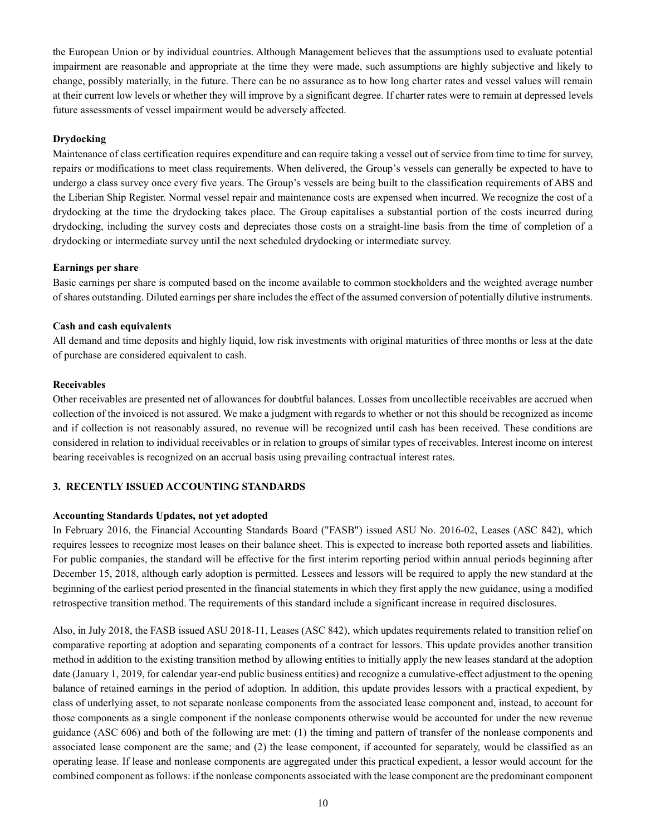the European Union or by individual countries. Although Management believes that the assumptions used to evaluate potential impairment are reasonable and appropriate at the time they were made, such assumptions are highly subjective and likely to change, possibly materially, in the future. There can be no assurance as to how long charter rates and vessel values will remain at their current low levels or whether they will improve by a significant degree. If charter rates were to remain at depressed levels future assessments of vessel impairment would be adversely affected.

## **Drydocking**

Maintenance of class certification requires expenditure and can require taking a vessel out of service from time to time for survey, repairs or modifications to meet class requirements. When delivered, the Group's vessels can generally be expected to have to undergo a class survey once every five years. The Group's vessels are being built to the classification requirements of ABS and the Liberian Ship Register. Normal vessel repair and maintenance costs are expensed when incurred. We recognize the cost of a drydocking at the time the drydocking takes place. The Group capitalises a substantial portion of the costs incurred during drydocking, including the survey costs and depreciates those costs on a straight-line basis from the time of completion of a drydocking or intermediate survey until the next scheduled drydocking or intermediate survey.

#### **Earnings per share**

Basic earnings per share is computed based on the income available to common stockholders and the weighted average number of shares outstanding. Diluted earnings per share includes the effect of the assumed conversion of potentially dilutive instruments.

#### **Cash and cash equivalents**

All demand and time deposits and highly liquid, low risk investments with original maturities of three months or less at the date of purchase are considered equivalent to cash.

#### **Receivables**

Other receivables are presented net of allowances for doubtful balances. Losses from uncollectible receivables are accrued when collection of the invoiced is not assured. We make a judgment with regards to whether or not this should be recognized as income and if collection is not reasonably assured, no revenue will be recognized until cash has been received. These conditions are considered in relation to individual receivables or in relation to groups of similar types of receivables. Interest income on interest bearing receivables is recognized on an accrual basis using prevailing contractual interest rates.

# **3. RECENTLY ISSUED ACCOUNTING STANDARDS**

#### **Accounting Standards Updates, not yet adopted**

In February 2016, the Financial Accounting Standards Board ("FASB") issued ASU No. 2016-02, Leases (ASC 842), which requires lessees to recognize most leases on their balance sheet. This is expected to increase both reported assets and liabilities. For public companies, the standard will be effective for the first interim reporting period within annual periods beginning after December 15, 2018, although early adoption is permitted. Lessees and lessors will be required to apply the new standard at the beginning of the earliest period presented in the financial statements in which they first apply the new guidance, using a modified retrospective transition method. The requirements of this standard include a significant increase in required disclosures.

Also, in July 2018, the FASB issued ASU 2018-11, Leases (ASC 842), which updates requirements related to transition relief on comparative reporting at adoption and separating components of a contract for lessors. This update provides another transition method in addition to the existing transition method by allowing entities to initially apply the new leases standard at the adoption date (January 1, 2019, for calendar year-end public business entities) and recognize a cumulative-effect adjustment to the opening balance of retained earnings in the period of adoption. In addition, this update provides lessors with a practical expedient, by class of underlying asset, to not separate nonlease components from the associated lease component and, instead, to account for those components as a single component if the nonlease components otherwise would be accounted for under the new revenue guidance (ASC 606) and both of the following are met: (1) the timing and pattern of transfer of the nonlease components and associated lease component are the same; and (2) the lease component, if accounted for separately, would be classified as an operating lease. If lease and nonlease components are aggregated under this practical expedient, a lessor would account for the combined component as follows: if the nonlease components associated with the lease component are the predominant component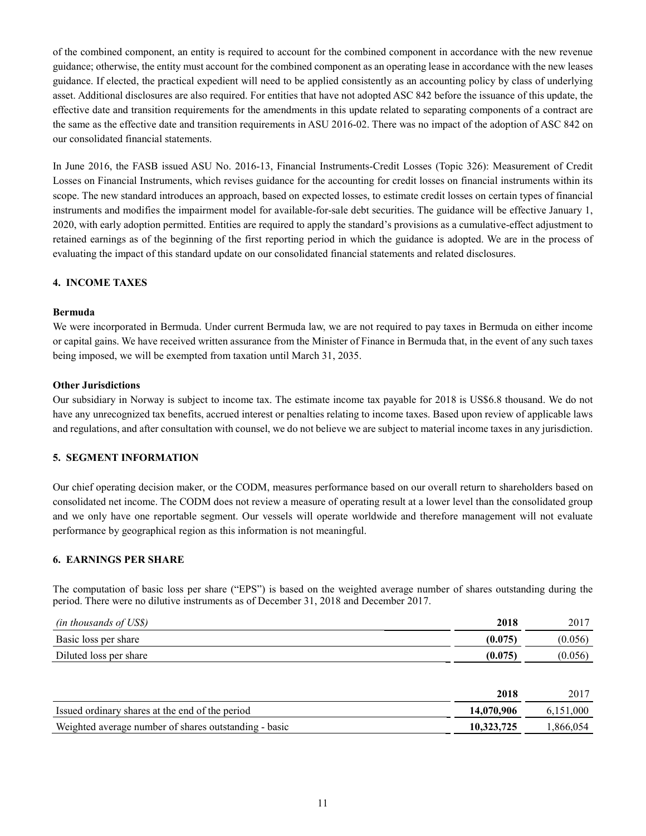of the combined component, an entity is required to account for the combined component in accordance with the new revenue guidance; otherwise, the entity must account for the combined component as an operating lease in accordance with the new leases guidance. If elected, the practical expedient will need to be applied consistently as an accounting policy by class of underlying asset. Additional disclosures are also required. For entities that have not adopted ASC 842 before the issuance of this update, the effective date and transition requirements for the amendments in this update related to separating components of a contract are the same as the effective date and transition requirements in ASU 2016-02. There was no impact of the adoption of ASC 842 on our consolidated financial statements.

In June 2016, the FASB issued ASU No. 2016-13, Financial Instruments-Credit Losses (Topic 326): Measurement of Credit Losses on Financial Instruments, which revises guidance for the accounting for credit losses on financial instruments within its scope. The new standard introduces an approach, based on expected losses, to estimate credit losses on certain types of financial instruments and modifies the impairment model for available-for-sale debt securities. The guidance will be effective January 1, 2020, with early adoption permitted. Entities are required to apply the standard's provisions as a cumulative-effect adjustment to retained earnings as of the beginning of the first reporting period in which the guidance is adopted. We are in the process of evaluating the impact of this standard update on our consolidated financial statements and related disclosures.

# **4. INCOME TAXES**

#### **Bermuda**

We were incorporated in Bermuda. Under current Bermuda law, we are not required to pay taxes in Bermuda on either income or capital gains. We have received written assurance from the Minister of Finance in Bermuda that, in the event of any such taxes being imposed, we will be exempted from taxation until March 31, 2035.

#### **Other Jurisdictions**

Our subsidiary in Norway is subject to income tax. The estimate income tax payable for 2018 is US\$6.8 thousand. We do not have any unrecognized tax benefits, accrued interest or penalties relating to income taxes. Based upon review of applicable laws and regulations, and after consultation with counsel, we do not believe we are subject to material income taxes in any jurisdiction.

# **5. SEGMENT INFORMATION**

Our chief operating decision maker, or the CODM, measures performance based on our overall return to shareholders based on consolidated net income. The CODM does not review a measure of operating result at a lower level than the consolidated group and we only have one reportable segment. Our vessels will operate worldwide and therefore management will not evaluate performance by geographical region as this information is not meaningful.

# **6. EARNINGS PER SHARE**

The computation of basic loss per share ("EPS") is based on the weighted average number of shares outstanding during the period. There were no dilutive instruments as of December 31, 2018 and December 2017.

| (in thousands of US\$) | 2018    | 2017    |
|------------------------|---------|---------|
| Basic loss per share   | (0.075) | (0.056) |
| Diluted loss per share | (0.075) | (0.056) |

|                                                       | 2018       | 2017      |
|-------------------------------------------------------|------------|-----------|
| Issued ordinary shares at the end of the period       | 14.070.906 | 6.151.000 |
| Weighted average number of shares outstanding - basic | 10.323.725 | 1.866.054 |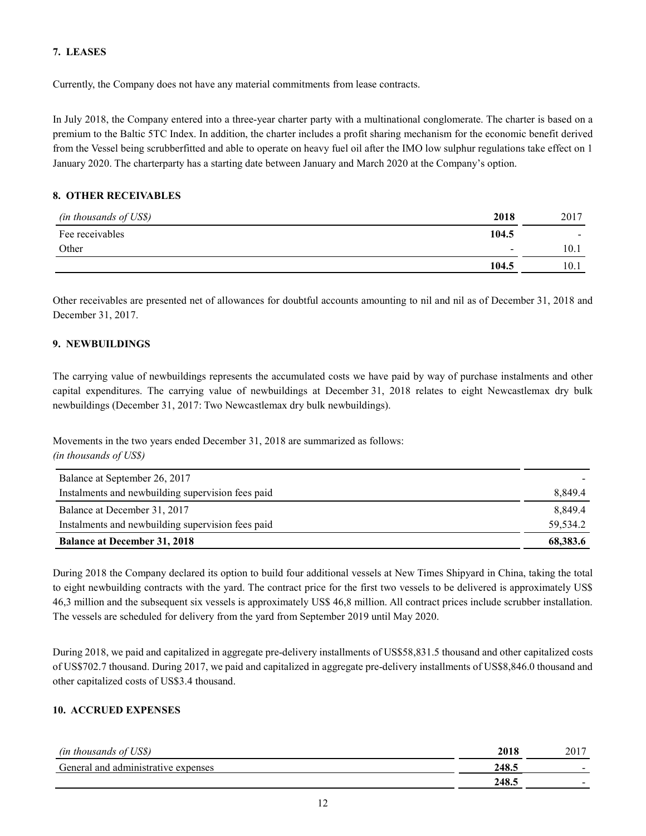# **7. LEASES**

Currently, the Company does not have any material commitments from lease contracts.

In July 2018, the Company entered into a three-year charter party with a multinational conglomerate. The charter is based on a premium to the Baltic 5TC Index. In addition, the charter includes a profit sharing mechanism for the economic benefit derived from the Vessel being scrubberfitted and able to operate on heavy fuel oil after the IMO low sulphur regulations take effect on 1 January 2020. The charterparty has a starting date between January and March 2020 at the Company's option.

# **8. OTHER RECEIVABLES**

| (in thousands of US\$) | 2018                     | 2017                     |
|------------------------|--------------------------|--------------------------|
| Fee receivables        | 104.5                    | $\overline{\phantom{a}}$ |
| Other                  | $\overline{\phantom{a}}$ | 10.1                     |
|                        | 104.5                    | 10.1                     |

Other receivables are presented net of allowances for doubtful accounts amounting to nil and nil as of December 31, 2018 and December 31, 2017.

# **9. NEWBUILDINGS**

*(in thousands of US\$)*

The carrying value of newbuildings represents the accumulated costs we have paid by way of purchase instalments and other capital expenditures. The carrying value of newbuildings at December 31, 2018 relates to eight Newcastlemax dry bulk newbuildings (December 31, 2017: Two Newcastlemax dry bulk newbuildings).

Movements in the two years ended December 31, 2018 are summarized as follows:

| Balance at September 26, 2017                     |          |
|---------------------------------------------------|----------|
| Instalments and newbuilding supervision fees paid | 8,849.4  |
| Balance at December 31, 2017                      | 8.849.4  |
| Instalments and newbuilding supervision fees paid | 59.534.2 |
| <b>Balance at December 31, 2018</b>               | 68,383.6 |

During 2018 the Company declared its option to build four additional vessels at New Times Shipyard in China, taking the total to eight newbuilding contracts with the yard. The contract price for the first two vessels to be delivered is approximately US\$ 46,3 million and the subsequent six vessels is approximately US\$ 46,8 million. All contract prices include scrubber installation. The vessels are scheduled for delivery from the yard from September 2019 until May 2020.

During 2018, we paid and capitalized in aggregate pre-delivery installments of US\$58,831.5 thousand and other capitalized costs of US\$702.7 thousand. During 2017, we paid and capitalized in aggregate pre-delivery installments of US\$8,846.0 thousand and other capitalized costs of US\$3.4 thousand.

# **10. ACCRUED EXPENSES**

| `US\$,<br><i>(in thousands of</i> ) | 2018  | 2017                     |
|-------------------------------------|-------|--------------------------|
| General and administrative expenses | 248.5 | $\overline{\phantom{0}}$ |
|                                     | 248.5 | -                        |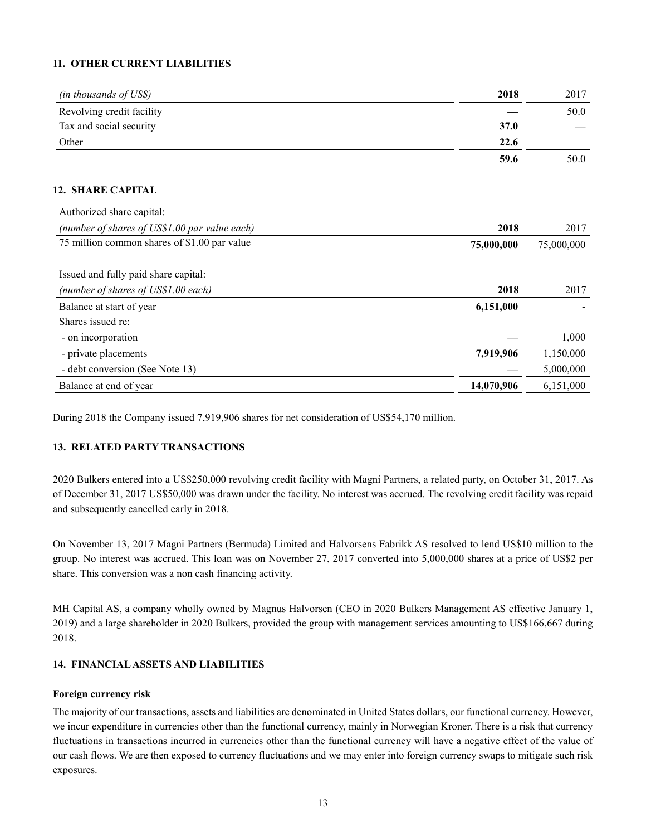# **11. OTHER CURRENT LIABILITIES**

| (in thousands of US\$)    | 2018        | 2017 |
|---------------------------|-------------|------|
| Revolving credit facility |             | 50.0 |
| Tax and social security   | <b>37.0</b> |      |
| Other                     | 22.6        |      |
|                           | 59.6        | 50.0 |

### **12. SHARE CAPITAL**

| Authorized share capital:                     |            |            |
|-----------------------------------------------|------------|------------|
| (number of shares of US\$1.00 par value each) | 2018       | 2017       |
| 75 million common shares of \$1.00 par value  | 75,000,000 | 75,000,000 |
|                                               |            |            |
| Issued and fully paid share capital:          |            |            |
| (number of shares of US\$1.00 each)           | 2018       | 2017       |
| Balance at start of year                      | 6,151,000  |            |
| Shares issued re:                             |            |            |
| - on incorporation                            |            | 1,000      |
| - private placements                          | 7,919,906  | 1,150,000  |
| - debt conversion (See Note 13)               |            | 5,000,000  |
| Balance at end of year                        | 14,070,906 | 6.151.000  |

During 2018 the Company issued 7,919,906 shares for net consideration of US\$54,170 million.

# **13. RELATED PARTY TRANSACTIONS**

2020 Bulkers entered into a US\$250,000 revolving credit facility with Magni Partners, a related party, on October 31, 2017. As of December 31, 2017 US\$50,000 was drawn under the facility. No interest was accrued. The revolving credit facility was repaid and subsequently cancelled early in 2018.

On November 13, 2017 Magni Partners (Bermuda) Limited and Halvorsens Fabrikk AS resolved to lend US\$10 million to the group. No interest was accrued. This loan was on November 27, 2017 converted into 5,000,000 shares at a price of US\$2 per share. This conversion was a non cash financing activity.

MH Capital AS, a company wholly owned by Magnus Halvorsen (CEO in 2020 Bulkers Management AS effective January 1, 2019) and a large shareholder in 2020 Bulkers, provided the group with management services amounting to US\$166,667 during 2018.

# **14. FINANCIAL ASSETS AND LIABILITIES**

#### **Foreign currency risk**

The majority of our transactions, assets and liabilities are denominated in United States dollars, our functional currency. However, we incur expenditure in currencies other than the functional currency, mainly in Norwegian Kroner. There is a risk that currency fluctuations in transactions incurred in currencies other than the functional currency will have a negative effect of the value of our cash flows. We are then exposed to currency fluctuations and we may enter into foreign currency swaps to mitigate such risk exposures.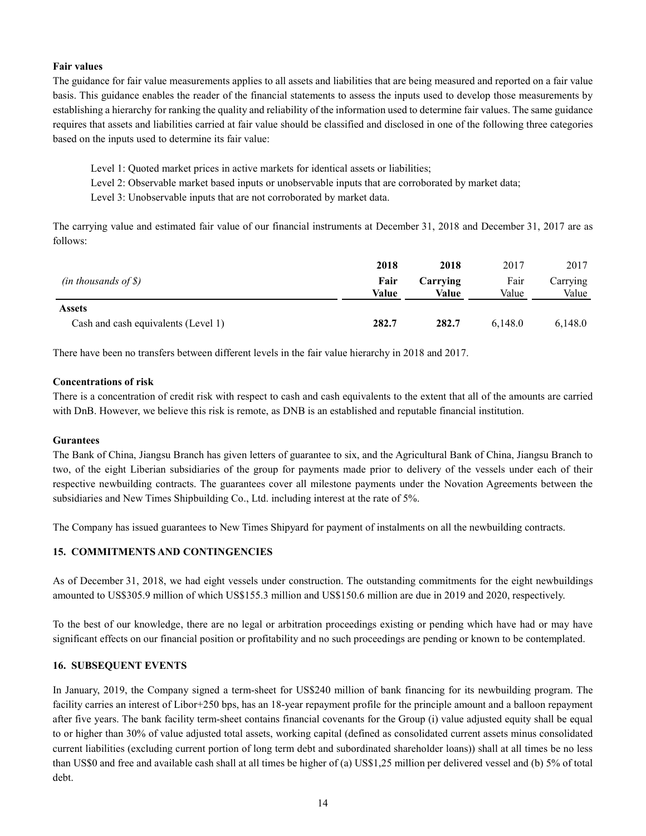# **Fair values**

The guidance for fair value measurements applies to all assets and liabilities that are being measured and reported on a fair value basis. This guidance enables the reader of the financial statements to assess the inputs used to develop those measurements by establishing a hierarchy for ranking the quality and reliability of the information used to determine fair values. The same guidance requires that assets and liabilities carried at fair value should be classified and disclosed in one of the following three categories based on the inputs used to determine its fair value:

- Level 1: Quoted market prices in active markets for identical assets or liabilities;
- Level 2: Observable market based inputs or unobservable inputs that are corroborated by market data;
- Level 3: Unobservable inputs that are not corroborated by market data.

The carrying value and estimated fair value of our financial instruments at December 31, 2018 and December 31, 2017 are as follows:

|                                     | 2018          | 2018              | 2017          | 2017              |
|-------------------------------------|---------------|-------------------|---------------|-------------------|
| $(in$ thousands of \$)              | Fair<br>Value | Carrying<br>Value | Fair<br>Value | Carrying<br>Value |
| Assets                              |               |                   |               |                   |
| Cash and cash equivalents (Level 1) | 282.7         | 282.7             | 6.148.0       | 6,148.0           |

There have been no transfers between different levels in the fair value hierarchy in 2018 and 2017.

# **Concentrations of risk**

There is a concentration of credit risk with respect to cash and cash equivalents to the extent that all of the amounts are carried with DnB. However, we believe this risk is remote, as DNB is an established and reputable financial institution.

# **Gurantees**

The Bank of China, Jiangsu Branch has given letters of guarantee to six, and the Agricultural Bank of China, Jiangsu Branch to two, of the eight Liberian subsidiaries of the group for payments made prior to delivery of the vessels under each of their respective newbuilding contracts. The guarantees cover all milestone payments under the Novation Agreements between the subsidiaries and New Times Shipbuilding Co., Ltd. including interest at the rate of 5%.

The Company has issued guarantees to New Times Shipyard for payment of instalments on all the newbuilding contracts.

# **15. COMMITMENTS AND CONTINGENCIES**

As of December 31, 2018, we had eight vessels under construction. The outstanding commitments for the eight newbuildings amounted to US\$305.9 million of which US\$155.3 million and US\$150.6 million are due in 2019 and 2020, respectively.

To the best of our knowledge, there are no legal or arbitration proceedings existing or pending which have had or may have significant effects on our financial position or profitability and no such proceedings are pending or known to be contemplated.

# **16. SUBSEQUENT EVENTS**

In January, 2019, the Company signed a term-sheet for US\$240 million of bank financing for its newbuilding program. The facility carries an interest of Libor+250 bps, has an 18-year repayment profile for the principle amount and a balloon repayment after five years. The bank facility term-sheet contains financial covenants for the Group (i) value adjusted equity shall be equal to or higher than 30% of value adjusted total assets, working capital (defined as consolidated current assets minus consolidated current liabilities (excluding current portion of long term debt and subordinated shareholder loans)) shall at all times be no less than US\$0 and free and available cash shall at all times be higher of (a) US\$1,25 million per delivered vessel and (b) 5% of total debt.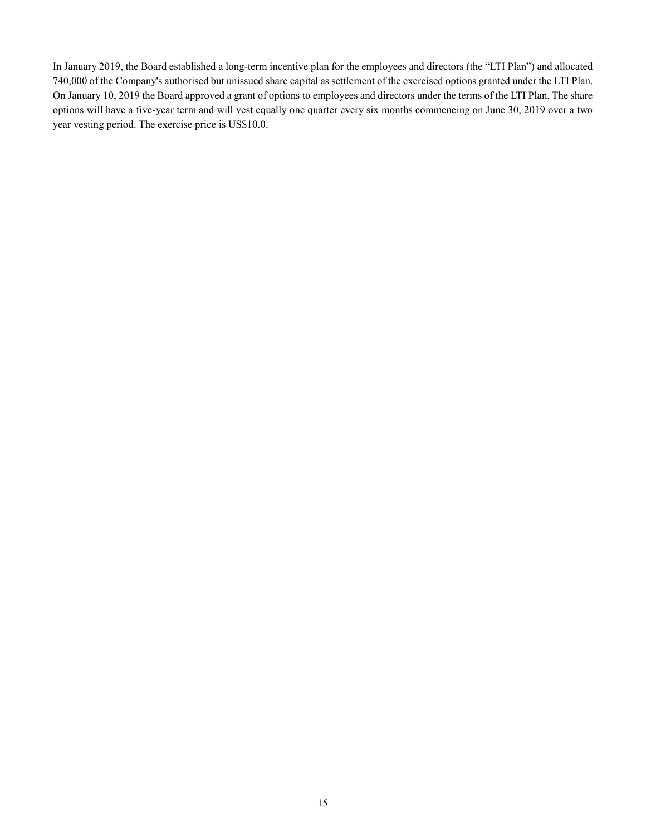In January 2019, the Board established a long-term incentive plan for the employees and directors (the "LTI Plan") and allocated 740,000 of the Company's authorised but unissued share capital as settlement of the exercised options granted under the LTI Plan. On January 10, 2019 the Board approved a grant of options to employees and directors under the terms of the LTI Plan. The share options will have a five-year term and will vest equally one quarter every six months commencing on June 30, 2019 over a two year vesting period. The exercise price is US\$10.0.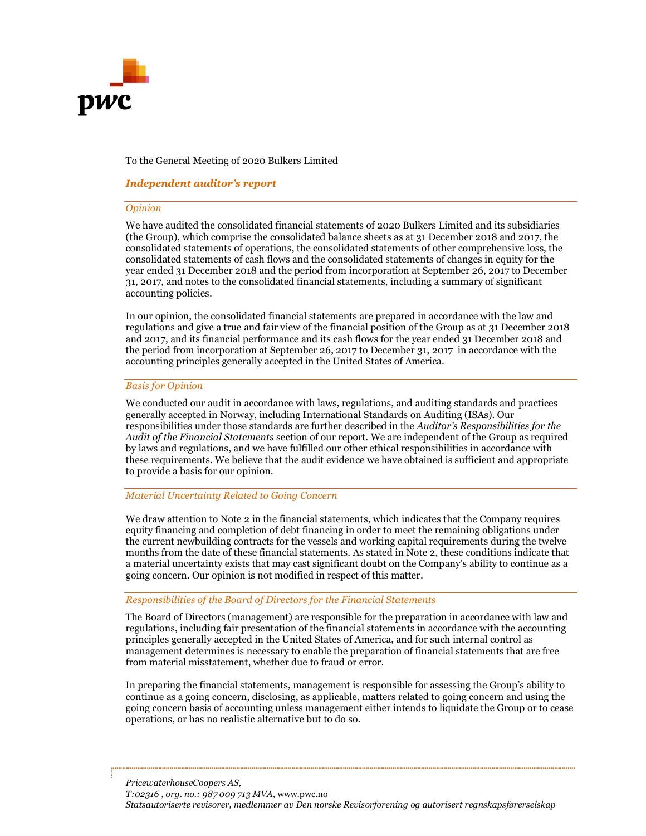

## To the General Meeting of 2020 Bulkers Limited

## Independent auditor's report

#### Opinion

We have audited the consolidated financial statements of 2020 Bulkers Limited and its subsidiaries (the Group), which comprise the consolidated balance sheets as at 31 December 2018 and 2017, the consolidated statements of operations, the consolidated statements of other comprehensive loss, the consolidated statements of cash flows and the consolidated statements of changes in equity for the year ended 31 December 2018 and the period from incorporation at September 26, 2017 to December 31, 2017, and notes to the consolidated financial statements, including a summary of significant accounting policies.

In our opinion, the consolidated financial statements are prepared in accordance with the law and regulations and give a true and fair view of the financial position of the Group as at 31 December 2018 and 2017, and its financial performance and its cash flows for the year ended 31 December 2018 and the period from incorporation at September 26, 2017 to December 31, 2017 in accordance with the accounting principles generally accepted in the United States of America.

#### Basis for Opinion

We conducted our audit in accordance with laws, regulations, and auditing standards and practices generally accepted in Norway, including International Standards on Auditing (ISAs). Our responsibilities under those standards are further described in the Auditor's Responsibilities for the Audit of the Financial Statements section of our report. We are independent of the Group as required by laws and regulations, and we have fulfilled our other ethical responsibilities in accordance with these requirements. We believe that the audit evidence we have obtained is sufficient and appropriate to provide a basis for our opinion.

#### Material Uncertainty Related to Going Concern

We draw attention to Note 2 in the financial statements, which indicates that the Company requires equity financing and completion of debt financing in order to meet the remaining obligations under the current newbuilding contracts for the vessels and working capital requirements during the twelve months from the date of these financial statements. As stated in Note 2, these conditions indicate that a material uncertainty exists that may cast significant doubt on the Company's ability to continue as a going concern. Our opinion is not modified in respect of this matter.

#### Responsibilities of the Board of Directors for the Financial Statements

The Board of Directors (management) are responsible for the preparation in accordance with law and regulations, including fair presentation of the financial statements in accordance with the accounting principles generally accepted in the United States of America, and for such internal control as management determines is necessary to enable the preparation of financial statements that are free from material misstatement, whether due to fraud or error.

In preparing the financial statements, management is responsible for assessing the Group's ability to continue as a going concern, disclosing, as applicable, matters related to going concern and using the going concern basis of accounting unless management either intends to liquidate the Group or to cease operations, or has no realistic alternative but to do so.